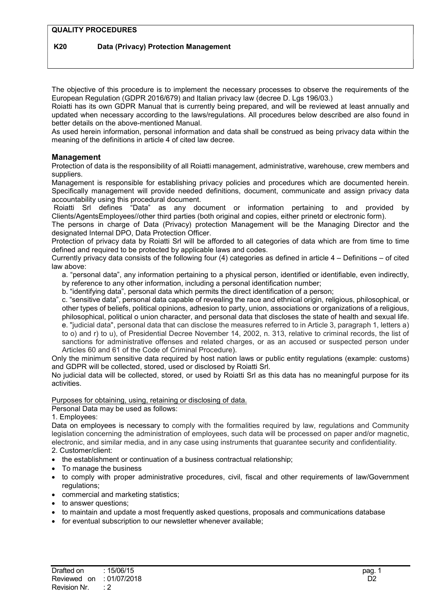# K20 Data (Privacy) Protection Management

The objective of this procedure is to implement the necessary processes to observe the requirements of the European Regulation (GDPR 2016/679) and Italian privacy law (decree D. Lgs 196/03.)

Roiatti has its own GDPR Manual that is currently being prepared, and will be reviewed at least annually and updated when necessary according to the laws/regulations. All procedures below described are also found in better details on the above-mentioned Manual.

As used herein information, personal information and data shall be construed as being privacy data within the meaning of the definitions in article 4 of cited law decree.

## Management

Protection of data is the responsibility of all Roiatti management, administrative, warehouse, crew members and suppliers.

Management is responsible for establishing privacy policies and procedures which are documented herein. Specifically management will provide needed definitions, document, communicate and assign privacy data accountability using this procedural document.

 Roiatti Srl defines "Data" as any document or information pertaining to and provided by Clients/AgentsEmployees//other third parties (both original and copies, either prinetd or electronic form).

The persons in charge of Data (Privacy) protection Management will be the Managing Director and the designated Internal DPO, Data Protection Officer.

Protection of privacy data by Roiatti Srl will be afforded to all categories of data which are from time to time defined and required to be protected by applicable laws and codes.

Currently privacy data consists of the following four  $(4)$  categories as defined in article  $4 -$  Definitions  $-$  of cited law above:

a. "personal data", any information pertaining to a physical person, identified or identifiable, even indirectly, by reference to any other information, including a personal identification number;

b. "identifying data", personal data which permits the direct identification of a person;

c. "sensitive data", personal data capable of revealing the race and ethnical origin, religious, philosophical, or other types of beliefs, political opinions, adhesion to party, union, associations or organizations of a religious, philosophical, political o union character, and personal data that discloses the state of health and sexual life. e. "judicial data", personal data that can disclose the measures referred to in Article 3, paragraph 1, letters a) to o) and r) to u), of Presidential Decree November 14, 2002, n. 313, relative to criminal records, the list of sanctions for administrative offenses and related charges, or as an accused or suspected person under Articles 60 and 61 of the Code of Criminal Procedure).

Only the minimum sensitive data required by host nation laws or public entity regulations (example: customs) and GDPR will be collected, stored, used or disclosed by Roiatti Srl.

No judicial data will be collected, stored, or used by Roiatti Srl as this data has no meaningful purpose for its activities.

Purposes for obtaining, using, retaining or disclosing of data.

Personal Data may be used as follows:

#### 1. Employees:

Data on employees is necessary to comply with the formalities required by law, regulations and Community legislation concerning the administration of employees, such data will be processed on paper and/or magnetic, electronic, and similar media, and in any case using instruments that guarantee security and confidentiality.

- 2. Customer/client:
- the establishment or continuation of a business contractual relationship;
- To manage the business
- to comply with proper administrative procedures, civil, fiscal and other requirements of law/Government regulations;
- commercial and marketing statistics;
- to answer questions;
- to maintain and update a most frequently asked questions, proposals and communications database
- for eventual subscription to our newsletter whenever available;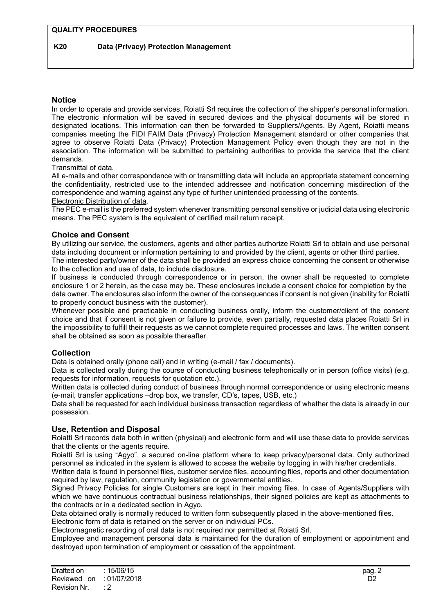## **Notice**

In order to operate and provide services, Roiatti Srl requires the collection of the shipper's personal information. The electronic information will be saved in secured devices and the physical documents will be stored in designated locations. This information can then be forwarded to Suppliers/Agents. By Agent, Roiatti means companies meeting the FIDI FAIM Data (Privacy) Protection Management standard or other companies that agree to observe Roiatti Data (Privacy) Protection Management Policy even though they are not in the association. The information will be submitted to pertaining authorities to provide the service that the client demands.

## Transmittal of data.

All e-mails and other correspondence with or transmitting data will include an appropriate statement concerning the confidentiality, restricted use to the intended addressee and notification concerning misdirection of the correspondence and warning against any type of further unintended processing of the contents. Electronic Distribution of data.

The PEC e-mail is the preferred system whenever transmitting personal sensitive or judicial data using electronic means. The PEC system is the equivalent of certified mail return receipt.

## Choice and Consent

By utilizing our service, the customers, agents and other parties authorize Roiatti Srl to obtain and use personal data including document or information pertaining to and provided by the client, agents or other third parties. The interested party/owner of the data shall be provided an express choice concerning the consent or otherwise to the collection and use of data, to include disclosure.

If business is conducted through correspondence or in person, the owner shall be requested to complete enclosure 1 or 2 herein, as the case may be. These enclosures include a consent choice for completion by the data owner. The enclosures also inform the owner of the consequences if consent is not given (inability for Roiatti to properly conduct business with the customer).

Whenever possible and practicable in conducting business orally, inform the customer/client of the consent choice and that if consent is not given or failure to provide, even partially, requested data places Roiatti Srl in the impossibility to fulfill their requests as we cannot complete required processes and laws. The written consent shall be obtained as soon as possible thereafter.

## **Collection**

Data is obtained orally (phone call) and in writing (e-mail / fax / documents).

Data is collected orally during the course of conducting business telephonically or in person (office visits) (e.g. requests for information, requests for quotation etc.).

Written data is collected during conduct of business through normal correspondence or using electronic means (e-mail, transfer applications –drop box, we transfer, CD's, tapes, USB, etc.)

Data shall be requested for each individual business transaction regardless of whether the data is already in our possession.

## Use, Retention and Disposal

Roiatti Srl records data both in written (physical) and electronic form and will use these data to provide services that the clients or the agents require.

Roiatti Srl is using "Agyo", a secured on-line platform where to keep privacy/personal data. Only authorized personnel as indicated in the system is allowed to access the website by logging in with his/her credentials.

Written data is found in personnel files, customer service files, accounting files, reports and other documentation required by law, regulation, community legislation or governmental entities.

Signed Privacy Policies for single Customers are kept in their moving files. In case of Agents/Suppliers with which we have continuous contractual business relationships, their signed policies are kept as attachments to the contracts or in a dedicated section in Agyo.

Data obtained orally is normally reduced to written form subsequently placed in the above-mentioned files.

Electronic form of data is retained on the server or on individual PCs.

Electromagnetic recording of oral data is not required nor permitted at Roiatti Srl.

Employee and management personal data is maintained for the duration of employment or appointment and destroyed upon termination of employment or cessation of the appointment.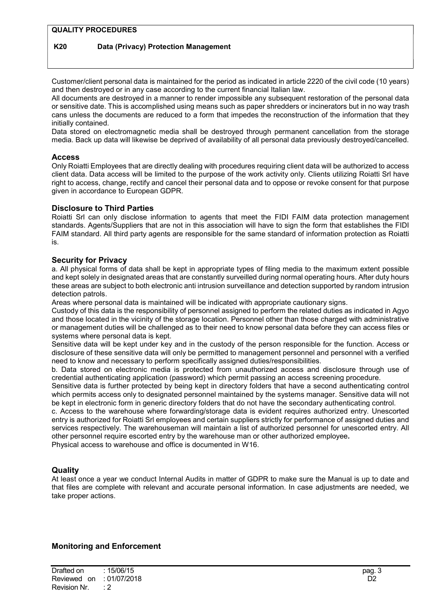#### QUALITY PROCEDURES

## K20 Data (Privacy) Protection Management

Customer/client personal data is maintained for the period as indicated in article 2220 of the civil code (10 years) and then destroyed or in any case according to the current financial Italian law.

All documents are destroyed in a manner to render impossible any subsequent restoration of the personal data or sensitive date. This is accomplished using means such as paper shredders or incinerators but in no way trash cans unless the documents are reduced to a form that impedes the reconstruction of the information that they initially contained.

Data stored on electromagnetic media shall be destroyed through permanent cancellation from the storage media. Back up data will likewise be deprived of availability of all personal data previously destroyed/cancelled.

#### **Access**

Only Roiatti Employees that are directly dealing with procedures requiring client data will be authorized to access client data. Data access will be limited to the purpose of the work activity only. Clients utilizing Roiatti Srl have right to access, change, rectify and cancel their personal data and to oppose or revoke consent for that purpose given in accordance to European GDPR.

#### Disclosure to Third Parties

Roiatti Srl can only disclose information to agents that meet the FIDI FAIM data protection management standards. Agents/Suppliers that are not in this association will have to sign the form that establishes the FIDI FAIM standard. All third party agents are responsible for the same standard of information protection as Roiatti is.

#### Security for Privacy

a. All physical forms of data shall be kept in appropriate types of filing media to the maximum extent possible and kept solely in designated areas that are constantly surveilled during normal operating hours. After duty hours these areas are subject to both electronic anti intrusion surveillance and detection supported by random intrusion detection patrols.

Areas where personal data is maintained will be indicated with appropriate cautionary signs.

Custody of this data is the responsibility of personnel assigned to perform the related duties as indicated in Agyo and those located in the vicinity of the storage location. Personnel other than those charged with administrative or management duties will be challenged as to their need to know personal data before they can access files or systems where personal data is kept.

Sensitive data will be kept under key and in the custody of the person responsible for the function. Access or disclosure of these sensitive data will only be permitted to management personnel and personnel with a verified need to know and necessary to perform specifically assigned duties/responsibilities.

b. Data stored on electronic media is protected from unauthorized access and disclosure through use of credential authenticating application (password) which permit passing an access screening procedure.

Sensitive data is further protected by being kept in directory folders that have a second authenticating control which permits access only to designated personnel maintained by the systems manager. Sensitive data will not be kept in electronic form in generic directory folders that do not have the secondary authenticating control.

c. Access to the warehouse where forwarding/storage data is evident requires authorized entry. Unescorted entry is authorized for Roiatti Srl employees and certain suppliers strictly for performance of assigned duties and services respectively. The warehouseman will maintain a list of authorized personnel for unescorted entry. All other personnel require escorted entry by the warehouse man or other authorized employee.

Physical access to warehouse and office is documented in W16.

#### **Quality**

At least once a year we conduct Internal Audits in matter of GDPR to make sure the Manual is up to date and that files are complete with relevant and accurate personal information. In case adjustments are needed, we take proper actions.

#### Monitoring and Enforcement